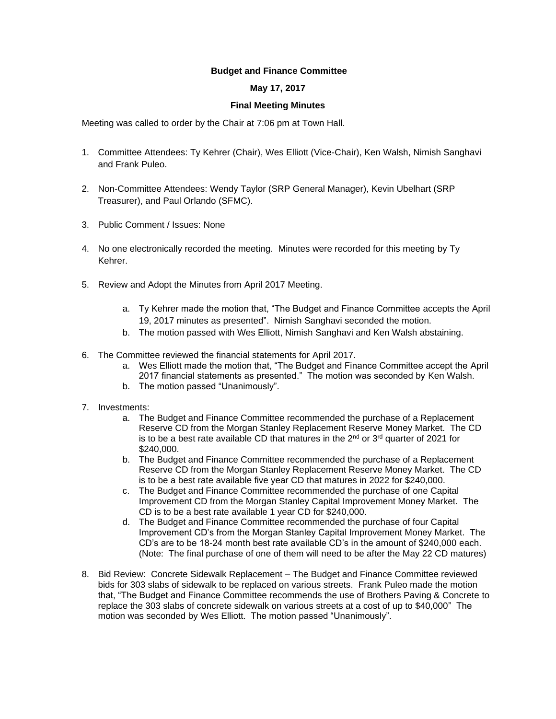## **Budget and Finance Committee**

## **May 17, 2017**

## **Final Meeting Minutes**

Meeting was called to order by the Chair at 7:06 pm at Town Hall.

- 1. Committee Attendees: Ty Kehrer (Chair), Wes Elliott (Vice-Chair), Ken Walsh, Nimish Sanghavi and Frank Puleo.
- 2. Non-Committee Attendees: Wendy Taylor (SRP General Manager), Kevin Ubelhart (SRP Treasurer), and Paul Orlando (SFMC).
- 3. Public Comment / Issues: None
- 4. No one electronically recorded the meeting. Minutes were recorded for this meeting by Ty Kehrer.
- 5. Review and Adopt the Minutes from April 2017 Meeting.
	- a. Ty Kehrer made the motion that, "The Budget and Finance Committee accepts the April 19, 2017 minutes as presented". Nimish Sanghavi seconded the motion.
	- b. The motion passed with Wes Elliott, Nimish Sanghavi and Ken Walsh abstaining.
- 6. The Committee reviewed the financial statements for April 2017.
	- a. Wes Elliott made the motion that, "The Budget and Finance Committee accept the April 2017 financial statements as presented." The motion was seconded by Ken Walsh.
	- b. The motion passed "Unanimously".
- 7. Investments:
	- a. The Budget and Finance Committee recommended the purchase of a Replacement Reserve CD from the Morgan Stanley Replacement Reserve Money Market. The CD is to be a best rate available CD that matures in the  $2^{nd}$  or  $3^{rd}$  quarter of 2021 for \$240,000.
	- b. The Budget and Finance Committee recommended the purchase of a Replacement Reserve CD from the Morgan Stanley Replacement Reserve Money Market. The CD is to be a best rate available five year CD that matures in 2022 for \$240,000.
	- c. The Budget and Finance Committee recommended the purchase of one Capital Improvement CD from the Morgan Stanley Capital Improvement Money Market. The CD is to be a best rate available 1 year CD for \$240,000.
	- d. The Budget and Finance Committee recommended the purchase of four Capital Improvement CD's from the Morgan Stanley Capital Improvement Money Market. The CD's are to be 18-24 month best rate available CD's in the amount of \$240,000 each. (Note: The final purchase of one of them will need to be after the May 22 CD matures)
- 8. Bid Review: Concrete Sidewalk Replacement The Budget and Finance Committee reviewed bids for 303 slabs of sidewalk to be replaced on various streets. Frank Puleo made the motion that, "The Budget and Finance Committee recommends the use of Brothers Paving & Concrete to replace the 303 slabs of concrete sidewalk on various streets at a cost of up to \$40,000" The motion was seconded by Wes Elliott. The motion passed "Unanimously".